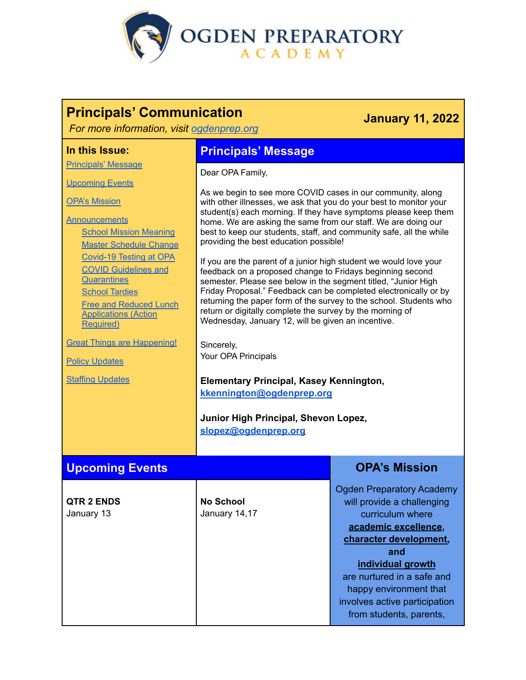

# **Principals' Communication**

## **January 11, 2022**

*For more information, visit [ogdenprep.org](https://ogdenprep.org/)*

#### **In this Issue:**

[Principals'](#page-0-0) Message

**[Upcoming](#page-0-1) Events** 

OPA's [Mission](#page-0-2)

## **[Announcements](#page-1-0)**

School Mission Meaning Master Schedule Change Covid-19 Testing at OPA COVID Guidelines and **Quarantines School Tardies** Free and [Reduced](#page-3-0) Lunch [Applications](#page-3-0) (Action [Required\)](#page-3-0)

Great Things are Happening!

Policy [Updates](#page-4-0)

**Staffing [Updates](#page-4-1)** 

## <span id="page-0-0"></span>**Principals' Message**

Dear OPA Family,

As we begin to see more COVID cases in our community, along with other illnesses, we ask that you do your best to monitor your student(s) each morning. If they have symptoms please keep them home. We are asking the same from our staff. We are doing our best to keep our students, staff, and community safe, all the while providing the best education possible!

If you are the parent of a junior high student we would love your feedback on a proposed change to Fridays beginning second semester. Please see below in the segment titled, "Junior High Friday Proposal." Feedback can be completed electronically or by returning the paper form of the survey to the school. Students who return or digitally complete the survey by the morning of Wednesday, January 12, will be given an incentive.

Sincerely, Your OPA Principals

## **Elementary Principal, Kasey Kennington, [kkennington@ogdenprep.org](mailto:kkennington@ogdenprep.org)**

<span id="page-0-2"></span>**Junior High Principal, Shevon Lopez, [slopez@ogdenprep.org](mailto:smathers@ogdenprep.org)**

#### <span id="page-0-1"></span>**Upcoming Events OPA's Mission QTR 2 ENDS** January 13 **No School** January 14,17 Ogden Preparatory Academy will provide a challenging curriculum where **academic excellence, character development, and individual growth** are nurtured in a safe and happy environment that involves active participation from students, parents,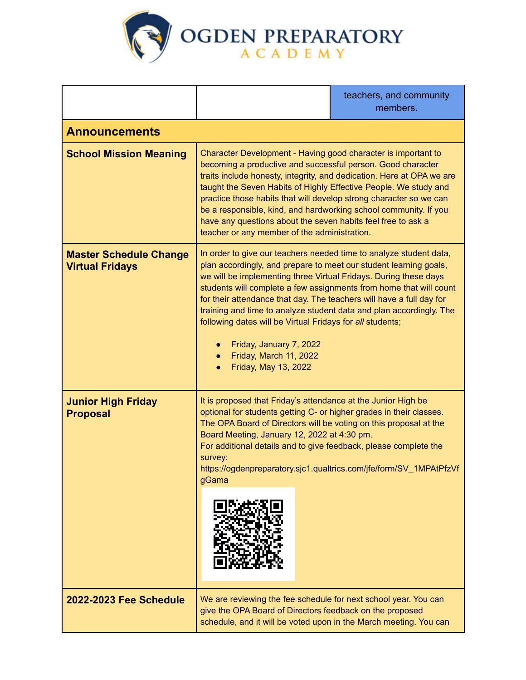

<span id="page-1-0"></span>

|                                                         |                                                                                                                                                                                                                                                                                                                                                                                                                                                                                                                                                                                         | teachers, and community<br>members. |
|---------------------------------------------------------|-----------------------------------------------------------------------------------------------------------------------------------------------------------------------------------------------------------------------------------------------------------------------------------------------------------------------------------------------------------------------------------------------------------------------------------------------------------------------------------------------------------------------------------------------------------------------------------------|-------------------------------------|
| <b>Announcements</b>                                    |                                                                                                                                                                                                                                                                                                                                                                                                                                                                                                                                                                                         |                                     |
| <b>School Mission Meaning</b>                           | Character Development - Having good character is important to<br>becoming a productive and successful person. Good character<br>traits include honesty, integrity, and dedication. Here at OPA we are<br>taught the Seven Habits of Highly Effective People. We study and<br>practice those habits that will develop strong character so we can<br>be a responsible, kind, and hardworking school community. If you<br>have any questions about the seven habits feel free to ask a<br>teacher or any member of the administration.                                                     |                                     |
| <b>Master Schedule Change</b><br><b>Virtual Fridays</b> | In order to give our teachers needed time to analyze student data,<br>plan accordingly, and prepare to meet our student learning goals,<br>we will be implementing three Virtual Fridays. During these days<br>students will complete a few assignments from home that will count<br>for their attendance that day. The teachers will have a full day for<br>training and time to analyze student data and plan accordingly. The<br>following dates will be Virtual Fridays for all students;<br>Friday, January 7, 2022<br>$\bullet$<br>Friday, March 11, 2022<br>Friday, May 13, 2022 |                                     |
| <b>Junior High Friday</b><br><b>Proposal</b>            | It is proposed that Friday's attendance at the Junior High be<br>optional for students getting C- or higher grades in their classes.<br>The OPA Board of Directors will be voting on this proposal at the<br>Board Meeting, January 12, 2022 at 4:30 pm.<br>For additional details and to give feedback, please complete the<br>survey:<br>https://ogdenpreparatory.sjc1.qualtrics.com/jfe/form/SV_1MPAtPfzVf<br>gGama                                                                                                                                                                  |                                     |
| <b>2022-2023 Fee Schedule</b>                           | We are reviewing the fee schedule for next school year. You can<br>give the OPA Board of Directors feedback on the proposed<br>schedule, and it will be voted upon in the March meeting. You can                                                                                                                                                                                                                                                                                                                                                                                        |                                     |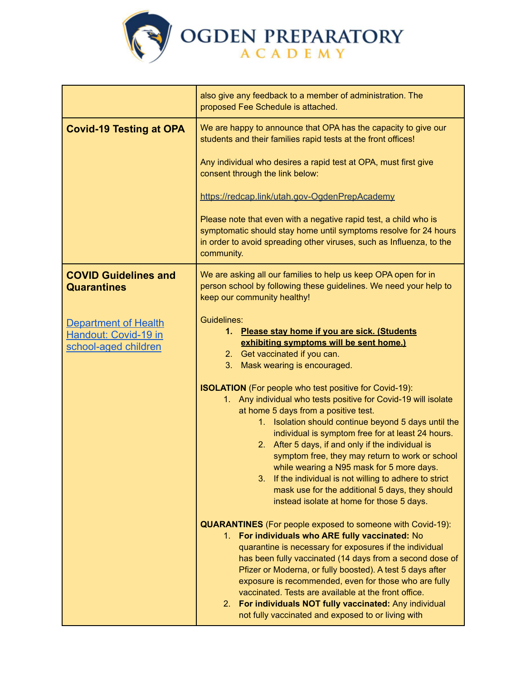

|                                                                             | also give any feedback to a member of administration. The<br>proposed Fee Schedule is attached.                                                                                                                                                                                                                                                                                                                                                                                                                                                                             |  |
|-----------------------------------------------------------------------------|-----------------------------------------------------------------------------------------------------------------------------------------------------------------------------------------------------------------------------------------------------------------------------------------------------------------------------------------------------------------------------------------------------------------------------------------------------------------------------------------------------------------------------------------------------------------------------|--|
| <b>Covid-19 Testing at OPA</b>                                              | We are happy to announce that OPA has the capacity to give our<br>students and their families rapid tests at the front offices!                                                                                                                                                                                                                                                                                                                                                                                                                                             |  |
|                                                                             | Any individual who desires a rapid test at OPA, must first give<br>consent through the link below:                                                                                                                                                                                                                                                                                                                                                                                                                                                                          |  |
|                                                                             | https://redcap.link/utah.gov-OgdenPrepAcademy                                                                                                                                                                                                                                                                                                                                                                                                                                                                                                                               |  |
|                                                                             | Please note that even with a negative rapid test, a child who is<br>symptomatic should stay home until symptoms resolve for 24 hours<br>in order to avoid spreading other viruses, such as Influenza, to the<br>community.                                                                                                                                                                                                                                                                                                                                                  |  |
| <b>COVID Guidelines and</b><br><b>Quarantines</b>                           | We are asking all our families to help us keep OPA open for in<br>person school by following these guidelines. We need your help to<br>keep our community healthy!                                                                                                                                                                                                                                                                                                                                                                                                          |  |
| <b>Department of Health</b><br>Handout: Covid-19 in<br>school-aged children | Guidelines:<br>1. Please stay home if you are sick. (Students<br>exhibiting symptoms will be sent home.)<br>2. Get vaccinated if you can.<br>3. Mask wearing is encouraged.<br><b>ISOLATION</b> (For people who test positive for Covid-19):<br>1. Any individual who tests positive for Covid-19 will isolate<br>at home 5 days from a positive test.<br>1. Isolation should continue beyond 5 days until the<br>individual is symptom free for at least 24 hours.<br>2. After 5 days, if and only if the individual is<br>symptom free, they may return to work or school |  |
|                                                                             | while wearing a N95 mask for 5 more days.<br>If the individual is not willing to adhere to strict<br>3.<br>mask use for the additional 5 days, they should<br>instead isolate at home for those 5 days.                                                                                                                                                                                                                                                                                                                                                                     |  |
|                                                                             | <b>QUARANTINES</b> (For people exposed to someone with Covid-19):<br>1. For individuals who ARE fully vaccinated: No<br>quarantine is necessary for exposures if the individual<br>has been fully vaccinated (14 days from a second dose of<br>Pfizer or Moderna, or fully boosted). A test 5 days after<br>exposure is recommended, even for those who are fully<br>vaccinated. Tests are available at the front office.<br>For individuals NOT fully vaccinated: Any individual<br>2.<br>not fully vaccinated and exposed to or living with                               |  |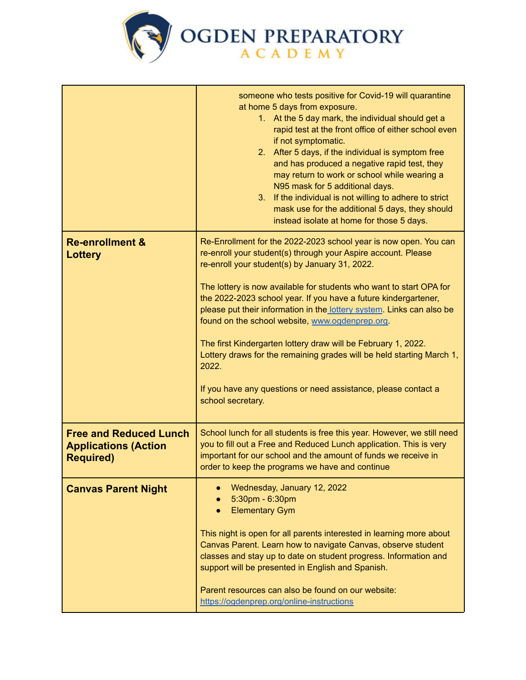

<span id="page-3-0"></span>

|                                                                                  | someone who tests positive for Covid-19 will quarantine<br>at home 5 days from exposure.<br>1. At the 5 day mark, the individual should get a<br>rapid test at the front office of either school even<br>if not symptomatic.<br>2. After 5 days, if the individual is symptom free<br>and has produced a negative rapid test, they<br>may return to work or school while wearing a<br>N95 mask for 5 additional days.<br>If the individual is not willing to adhere to strict<br>3.<br>mask use for the additional 5 days, they should<br>instead isolate at home for those 5 days.                                                                                                                 |
|----------------------------------------------------------------------------------|-----------------------------------------------------------------------------------------------------------------------------------------------------------------------------------------------------------------------------------------------------------------------------------------------------------------------------------------------------------------------------------------------------------------------------------------------------------------------------------------------------------------------------------------------------------------------------------------------------------------------------------------------------------------------------------------------------|
| <b>Re-enrollment &amp;</b><br>Lottery                                            | Re-Enrollment for the 2022-2023 school year is now open. You can<br>re-enroll your student(s) through your Aspire account. Please<br>re-enroll your student(s) by January 31, 2022.<br>The lottery is now available for students who want to start OPA for<br>the 2022-2023 school year. If you have a future kindergartener,<br>please put their information in the lottery system. Links can also be<br>found on the school website, www.ogdenprep.org.<br>The first Kindergarten lottery draw will be February 1, 2022.<br>Lottery draws for the remaining grades will be held starting March 1,<br>2022.<br>If you have any questions or need assistance, please contact a<br>school secretary. |
| <b>Free and Reduced Lunch</b><br><b>Applications (Action</b><br><b>Required)</b> | School lunch for all students is free this year. However, we still need<br>you to fill out a Free and Reduced Lunch application. This is very<br>important for our school and the amount of funds we receive in<br>order to keep the programs we have and continue                                                                                                                                                                                                                                                                                                                                                                                                                                  |
| <b>Canvas Parent Night</b>                                                       | Wednesday, January 12, 2022<br>5:30pm - 6:30pm<br><b>Elementary Gym</b><br>This night is open for all parents interested in learning more about<br>Canvas Parent. Learn how to navigate Canvas, observe student<br>classes and stay up to date on student progress. Information and<br>support will be presented in English and Spanish.<br>Parent resources can also be found on our website:<br>https://ogdenprep.org/online-instructions                                                                                                                                                                                                                                                         |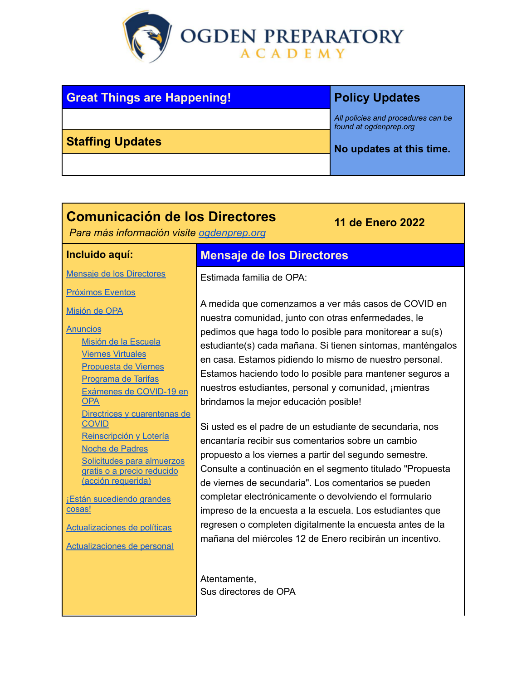

<span id="page-4-1"></span>

| <b>Great Things are Happening!</b> | <b>Policy Updates</b>                                        |
|------------------------------------|--------------------------------------------------------------|
|                                    | All policies and procedures can be<br>found at ogdenprep.org |
| <b>Staffing Updates</b>            | No updates at this time.                                     |
|                                    |                                                              |

# **Comunicación de los Directores**

*Para más información visite [ogdenprep.org](https://ogdenprep.org/)*

### **Incluido aquí:**

Mensaje de los [Directores](#page-4-2)

[Próximos](#page-5-0) Eventos

[Misión](#page-5-1) de OPA

**[Anuncios](#page-5-2)** 

Misión de la Escuela Viernes Virtuales Propuesta de Viernes Programa de Tarifas Exámenes de COVID-19 en **OPA Directrices y cuarentenas de** COVID Reinscripción y Lotería Noche de Padres [Solicitudes](#page-9-0) para almuerzos gratis o a precio [reducido](#page-9-0) (acción [requerida\)](#page-9-0)

**¡Están [sucediendo](#page-9-1) grandes** [cosas!](#page-9-1)

[Actualizaciones](#page-9-2) de políticas

[Actualizaciones](#page-9-3) de personal

# <span id="page-4-2"></span>**Mensaje de los Directores**

Estimada familia de OPA:

A medida que comenzamos a ver más casos de COVID en nuestra comunidad, junto con otras enfermedades, le pedimos que haga todo lo posible para monitorear a su(s) estudiante(s) cada mañana. Si tienen síntomas, manténgalos en casa. Estamos pidiendo lo mismo de nuestro personal. Estamos haciendo todo lo posible para mantener seguros a nuestros estudiantes, personal y comunidad, ¡mientras brindamos la mejor educación posible!

<span id="page-4-0"></span>**11 de Enero 2022**

Si usted es el padre de un estudiante de secundaria, nos encantaría recibir sus comentarios sobre un cambio propuesto a los viernes a partir del segundo semestre. Consulte a continuación en el segmento titulado "Propuesta de viernes de secundaria". Los comentarios se pueden completar electrónicamente o devolviendo el formulario impreso de la encuesta a la escuela. Los estudiantes que regresen o completen digitalmente la encuesta antes de la mañana del miércoles 12 de Enero recibirán un incentivo.

Atentamente, Sus directores de OPA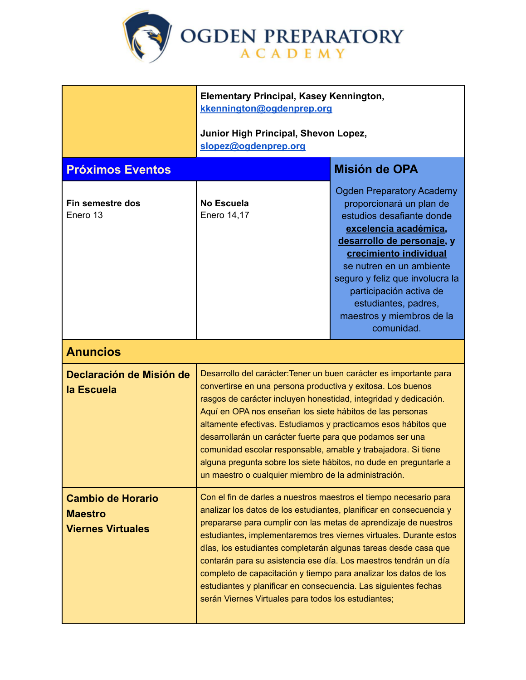<span id="page-5-1"></span>

<span id="page-5-2"></span><span id="page-5-0"></span>

|                                                                        | <b>Elementary Principal, Kasey Kennington,</b><br>kkennington@ogdenprep.org<br>Junior High Principal, Shevon Lopez,                                                                                                                                                                                                                                                                                                                                                                                                                                                                                                     |                                                                                                                                                                                                                                                                                                                                         |
|------------------------------------------------------------------------|-------------------------------------------------------------------------------------------------------------------------------------------------------------------------------------------------------------------------------------------------------------------------------------------------------------------------------------------------------------------------------------------------------------------------------------------------------------------------------------------------------------------------------------------------------------------------------------------------------------------------|-----------------------------------------------------------------------------------------------------------------------------------------------------------------------------------------------------------------------------------------------------------------------------------------------------------------------------------------|
|                                                                        | slopez@ogdenprep.org                                                                                                                                                                                                                                                                                                                                                                                                                                                                                                                                                                                                    |                                                                                                                                                                                                                                                                                                                                         |
| <b>Próximos Eventos</b>                                                |                                                                                                                                                                                                                                                                                                                                                                                                                                                                                                                                                                                                                         | Misión de OPA                                                                                                                                                                                                                                                                                                                           |
| Fin semestre dos<br>Enero 13                                           | <b>No Escuela</b><br>Enero 14,17                                                                                                                                                                                                                                                                                                                                                                                                                                                                                                                                                                                        | <b>Ogden Preparatory Academy</b><br>proporcionará un plan de<br>estudios desafiante donde<br>excelencia académica,<br>desarrollo de personaje, y<br>crecimiento individual<br>se nutren en un ambiente<br>seguro y feliz que involucra la<br>participación activa de<br>estudiantes, padres,<br>maestros y miembros de la<br>comunidad. |
| <b>Anuncios</b>                                                        |                                                                                                                                                                                                                                                                                                                                                                                                                                                                                                                                                                                                                         |                                                                                                                                                                                                                                                                                                                                         |
| Declaración de Misión de<br>la Escuela                                 | Desarrollo del carácter: Tener un buen carácter es importante para<br>convertirse en una persona productiva y exitosa. Los buenos<br>rasgos de carácter incluyen honestidad, integridad y dedicación.<br>Aquí en OPA nos enseñan los siete hábitos de las personas<br>altamente efectivas. Estudiamos y practicamos esos hábitos que<br>desarrollarán un carácter fuerte para que podamos ser una<br>comunidad escolar responsable, amable y trabajadora. Si tiene<br>alguna pregunta sobre los siete hábitos, no dude en preguntarle a<br>un maestro o cualquier miembro de la administración.                         |                                                                                                                                                                                                                                                                                                                                         |
| <b>Cambio de Horario</b><br><b>Maestro</b><br><b>Viernes Virtuales</b> | Con el fin de darles a nuestros maestros el tiempo necesario para<br>analizar los datos de los estudiantes, planificar en consecuencia y<br>prepararse para cumplir con las metas de aprendizaje de nuestros<br>estudiantes, implementaremos tres viernes virtuales. Durante estos<br>días, los estudiantes completarán algunas tareas desde casa que<br>contarán para su asistencia ese día. Los maestros tendrán un día<br>completo de capacitación y tiempo para analizar los datos de los<br>estudiantes y planificar en consecuencia. Las siguientes fechas<br>serán Viernes Virtuales para todos los estudiantes; |                                                                                                                                                                                                                                                                                                                                         |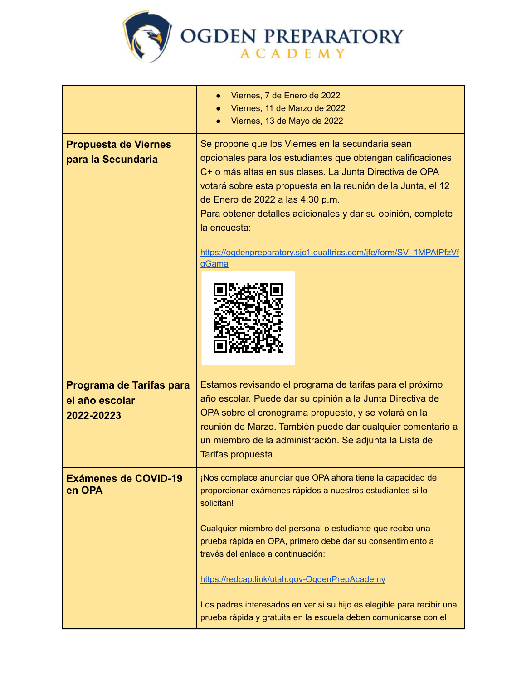

|                                                          | Viernes, 7 de Enero de 2022<br>Viernes, 11 de Marzo de 2022<br>Viernes, 13 de Mayo de 2022                                                                                                                                                                                                                                                                                                                                                                                                           |  |
|----------------------------------------------------------|------------------------------------------------------------------------------------------------------------------------------------------------------------------------------------------------------------------------------------------------------------------------------------------------------------------------------------------------------------------------------------------------------------------------------------------------------------------------------------------------------|--|
| <b>Propuesta de Viernes</b><br>para la Secundaria        | Se propone que los Viernes en la secundaria sean<br>opcionales para los estudiantes que obtengan calificaciones<br>C+ o más altas en sus clases. La Junta Directiva de OPA<br>votará sobre esta propuesta en la reunión de la Junta, el 12<br>de Enero de 2022 a las 4:30 p.m.<br>Para obtener detalles adicionales y dar su opinión, complete<br>la encuesta:<br>https://ogdenpreparatory.sjc1.qualtrics.com/jfe/form/SV_1MPAtPfzVf<br><b>gGama</b>                                                 |  |
| Programa de Tarifas para<br>el año escolar<br>2022-20223 | Estamos revisando el programa de tarifas para el próximo<br>año escolar. Puede dar su opinión a la Junta Directiva de<br>OPA sobre el cronograma propuesto, y se votará en la<br>reunión de Marzo. También puede dar cualquier comentario a<br>un miembro de la administración. Se adjunta la Lista de<br>Tarifas propuesta.                                                                                                                                                                         |  |
| <b>Exámenes de COVID-19</b><br>en OPA                    | ¡Nos complace anunciar que OPA ahora tiene la capacidad de<br>proporcionar exámenes rápidos a nuestros estudiantes si lo<br>solicitan!<br>Cualquier miembro del personal o estudiante que reciba una<br>prueba rápida en OPA, primero debe dar su consentimiento a<br>través del enlace a continuación:<br>https://redcap.link/utah.gov-OgdenPrepAcademy<br>Los padres interesados en ver si su hijo es elegible para recibir una<br>prueba rápida y gratuita en la escuela deben comunicarse con el |  |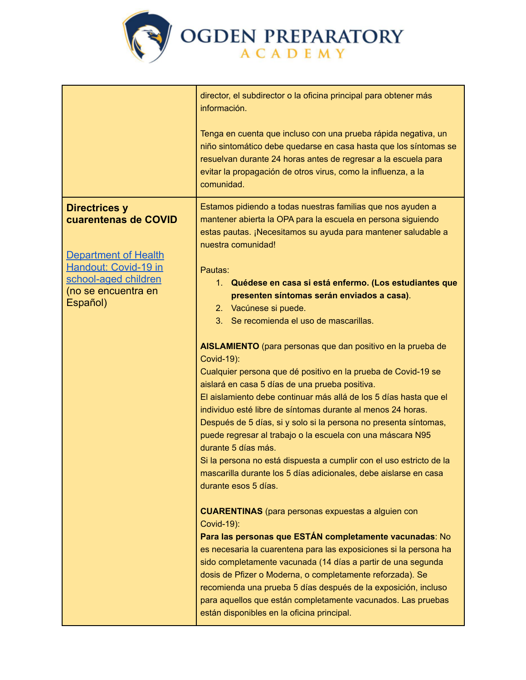

|                                                                                                                                                                | director, el subdirector o la oficina principal para obtener más<br>información.<br>Tenga en cuenta que incluso con una prueba rápida negativa, un<br>niño sintomático debe quedarse en casa hasta que los síntomas se<br>resuelvan durante 24 horas antes de regresar a la escuela para<br>evitar la propagación de otros virus, como la influenza, a la<br>comunidad.                                                                                                                                                                                                                                                                                                                                                                                                                                                                                                                                         |
|----------------------------------------------------------------------------------------------------------------------------------------------------------------|-----------------------------------------------------------------------------------------------------------------------------------------------------------------------------------------------------------------------------------------------------------------------------------------------------------------------------------------------------------------------------------------------------------------------------------------------------------------------------------------------------------------------------------------------------------------------------------------------------------------------------------------------------------------------------------------------------------------------------------------------------------------------------------------------------------------------------------------------------------------------------------------------------------------|
| <b>Directrices y</b><br>cuarentenas de COVID<br><b>Department of Health</b><br>Handout: Covid-19 in<br>school-aged children<br>(no se encuentra en<br>Español) | Estamos pidiendo a todas nuestras familias que nos ayuden a<br>mantener abierta la OPA para la escuela en persona siguiendo<br>estas pautas. ¡Necesitamos su ayuda para mantener saludable a<br>nuestra comunidad!<br>Pautas:<br>1. Quédese en casa si está enfermo. (Los estudiantes que<br>presenten síntomas serán enviados a casa).<br>2. Vacúnese si puede.<br>3. Se recomienda el uso de mascarillas.<br>AISLAMIENTO (para personas que dan positivo en la prueba de<br><b>Covid-19):</b><br>Cualquier persona que dé positivo en la prueba de Covid-19 se<br>aislará en casa 5 días de una prueba positiva.<br>El aislamiento debe continuar más allá de los 5 días hasta que el                                                                                                                                                                                                                         |
|                                                                                                                                                                | individuo esté libre de síntomas durante al menos 24 horas.<br>Después de 5 días, si y solo si la persona no presenta síntomas,<br>puede regresar al trabajo o la escuela con una máscara N95<br>durante 5 días más.<br>Si la persona no está dispuesta a cumplir con el uso estricto de la<br>mascarilla durante los 5 días adicionales, debe aislarse en casa<br>durante esos 5 días.<br><b>CUARENTINAS</b> (para personas expuestas a alguien con<br>Covid-19):<br>Para las personas que ESTÁN completamente vacunadas: No<br>es necesaria la cuarentena para las exposiciones si la persona ha<br>sido completamente vacunada (14 días a partir de una segunda<br>dosis de Pfizer o Moderna, o completamente reforzada). Se<br>recomienda una prueba 5 días después de la exposición, incluso<br>para aquellos que están completamente vacunados. Las pruebas<br>están disponibles en la oficina principal. |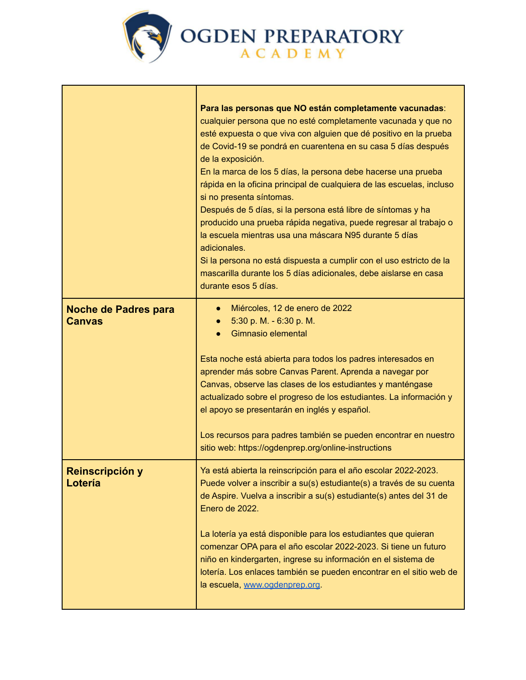

|                                              | Para las personas que NO están completamente vacunadas:<br>cualquier persona que no esté completamente vacunada y que no<br>esté expuesta o que viva con alguien que dé positivo en la prueba<br>de Covid-19 se pondrá en cuarentena en su casa 5 días después<br>de la exposición.<br>En la marca de los 5 días, la persona debe hacerse una prueba<br>rápida en la oficina principal de cualquiera de las escuelas, incluso<br>si no presenta síntomas.<br>Después de 5 días, si la persona está libre de síntomas y ha<br>producido una prueba rápida negativa, puede regresar al trabajo o<br>la escuela mientras usa una máscara N95 durante 5 días<br>adicionales.<br>Si la persona no está dispuesta a cumplir con el uso estricto de la<br>mascarilla durante los 5 días adicionales, debe aislarse en casa<br>durante esos 5 días. |
|----------------------------------------------|---------------------------------------------------------------------------------------------------------------------------------------------------------------------------------------------------------------------------------------------------------------------------------------------------------------------------------------------------------------------------------------------------------------------------------------------------------------------------------------------------------------------------------------------------------------------------------------------------------------------------------------------------------------------------------------------------------------------------------------------------------------------------------------------------------------------------------------------|
| <b>Noche de Padres para</b><br><b>Canvas</b> | Miércoles, 12 de enero de 2022<br>5:30 p. M. - 6:30 p. M.<br>Gimnasio elemental<br>Esta noche está abierta para todos los padres interesados en<br>aprender más sobre Canvas Parent. Aprenda a navegar por<br>Canvas, observe las clases de los estudiantes y manténgase<br>actualizado sobre el progreso de los estudiantes. La información y<br>el apoyo se presentarán en inglés y español.<br>Los recursos para padres también se pueden encontrar en nuestro<br>sitio web: https://ogdenprep.org/online-instructions                                                                                                                                                                                                                                                                                                                   |
| Reinscripción y<br>Lotería                   | Ya está abierta la reinscripción para el año escolar 2022-2023.<br>Puede volver a inscribir a su(s) estudiante(s) a través de su cuenta<br>de Aspire. Vuelva a inscribir a su(s) estudiante(s) antes del 31 de<br>Enero de 2022.<br>La lotería ya está disponible para los estudiantes que quieran<br>comenzar OPA para el año escolar 2022-2023. Si tiene un futuro<br>niño en kindergarten, ingrese su información en el sistema de<br>lotería. Los enlaces también se pueden encontrar en el sitio web de<br>la escuela, www.ogdenprep.org.                                                                                                                                                                                                                                                                                              |